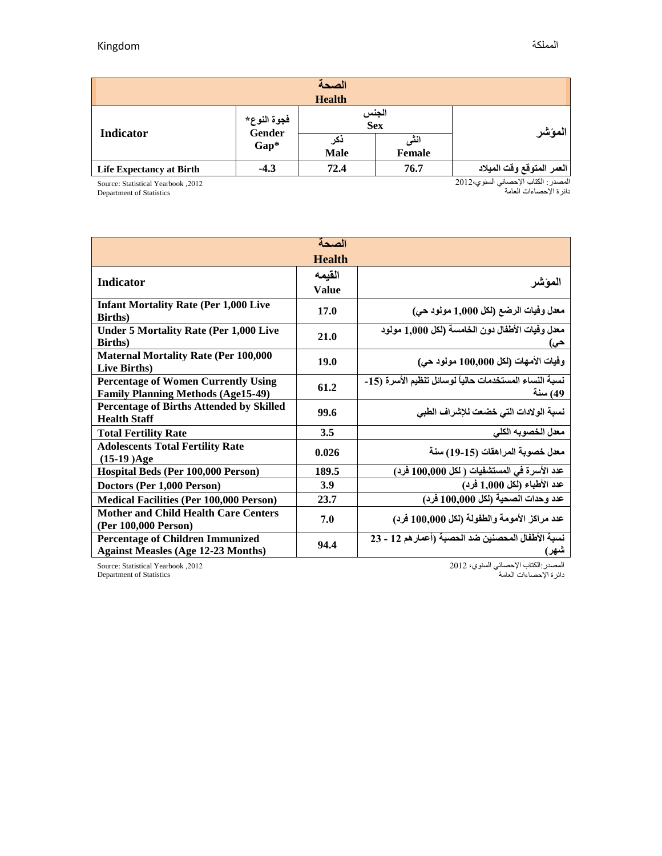| الصحة                           |                                 |                    |                |                           |  |  |  |  |
|---------------------------------|---------------------------------|--------------------|----------------|---------------------------|--|--|--|--|
| <b>Health</b>                   |                                 |                    |                |                           |  |  |  |  |
| Indicator                       | فجوة النوع*<br>Gender<br>$Gap*$ | الجنس<br>Sex       |                |                           |  |  |  |  |
|                                 |                                 | دکر<br><b>Male</b> | انٹی<br>Female | المؤشر                    |  |  |  |  |
| <b>Life Expectancy at Birth</b> | $-4.3$                          | 72.4               | 76.7           | العمر المتوقع وقت الميلاد |  |  |  |  |

Source: Statistical Yearbook ,2102

Department of Statistics

المصدر: الكتاب اإلحصائي السنوي2102، دائرة اإلحصاءات العامة

| الصحة                                                                                   |               |                                                                   |  |  |  |  |
|-----------------------------------------------------------------------------------------|---------------|-------------------------------------------------------------------|--|--|--|--|
|                                                                                         | <b>Health</b> |                                                                   |  |  |  |  |
| <b>Indicator</b>                                                                        | القيمه        |                                                                   |  |  |  |  |
|                                                                                         | Value         | المؤشر                                                            |  |  |  |  |
| <b>Infant Mortality Rate (Per 1,000 Live</b><br><b>Births</b> )                         | 17.0          | معدل وفيات الرضع (لكل 1,000 مولود حي)                             |  |  |  |  |
| <b>Under 5 Mortality Rate (Per 1,000 Live</b><br><b>Births</b> )                        | 21.0          | معدل وفيات الأطفال دون الخامسة (لكل 1,000 مولود<br>حی)            |  |  |  |  |
| <b>Maternal Mortality Rate (Per 100,000</b><br>Live Births)                             | 19.0          | وفيات الأمهات (لكل 100,000 مولود حي)                              |  |  |  |  |
| <b>Percentage of Women Currently Using</b><br><b>Family Planning Methods (Age15-49)</b> | 61.2          | نسبة النساء المستخدمات حالياً لوسائل تنظيم الأسرة (15-<br>49) سنة |  |  |  |  |
| <b>Percentage of Births Attended by Skilled</b><br><b>Health Staff</b>                  | 99.6          | نسبة الولادات التي خضعت للإشراف الطبي                             |  |  |  |  |
| <b>Total Fertility Rate</b>                                                             | 3.5           | معدل الخصوبه الكلي                                                |  |  |  |  |
| <b>Adolescents Total Fertility Rate</b><br>$(15-19)Age$                                 | 0.026         | معدل خصوبة المراهقات (15-19) سنة                                  |  |  |  |  |
| Hospital Beds (Per 100,000 Person)                                                      | 189.5         | عدد الأسرة في المستشفيات ( لكل 100,000 فرد)                       |  |  |  |  |
| Doctors (Per 1,000 Person)                                                              | 3.9           | عدد الأطباء (لكل 1,000 فرد)                                       |  |  |  |  |
| <b>Medical Facilities (Per 100,000 Person)</b>                                          | 23.7          | عدد وحدات الصحية (لكل 100,000 فرد)                                |  |  |  |  |
| <b>Mother and Child Health Care Centers</b><br>(Per 100,000 Person)                     | 7.0           | عدد مراكز الأمومة والطفولة (لكل 100,000 فرد)                      |  |  |  |  |
| <b>Percentage of Children Immunized</b><br><b>Against Measles (Age 12-23 Months)</b>    | 94.4          | نسبة الأطفال المحصنين ضد الحصبة (أعمار هم 12 - 23<br>شهر)         |  |  |  |  |

Source: Statistical Yearbook ,2102 Department of Statistics

المصدر:الكتاب اإلحصائي السنوي، 2102

دائرة اإلحصاءات العامة